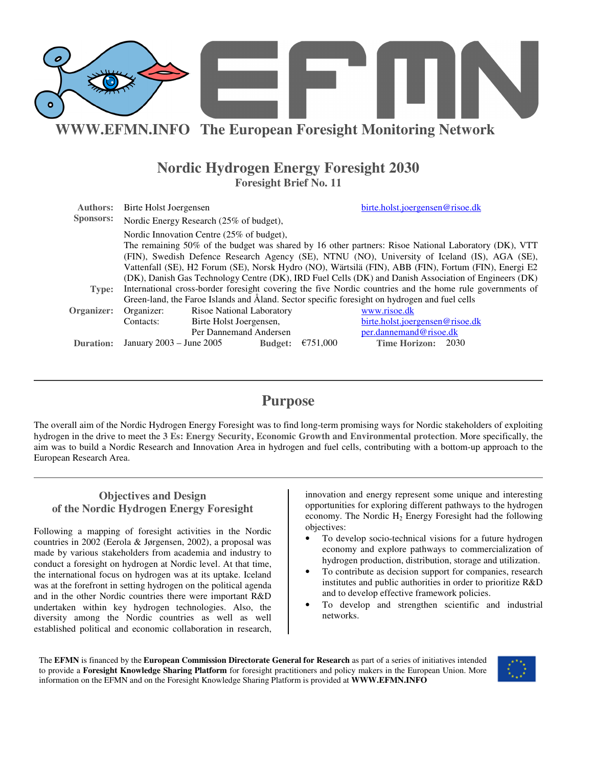

## **Nordic Hydrogen Energy Foresight 2030 Foresight Brief No. 11**

| <b>Authors:</b>  | Birte Holst Joergensen                                                                                   |                           |                | birte.holst.joergensen@risoe.dk |                                 |  |  |
|------------------|----------------------------------------------------------------------------------------------------------|---------------------------|----------------|---------------------------------|---------------------------------|--|--|
| <b>Sponsors:</b> | Nordic Energy Research (25% of budget),                                                                  |                           |                |                                 |                                 |  |  |
|                  | Nordic Innovation Centre (25% of budget),                                                                |                           |                |                                 |                                 |  |  |
|                  | The remaining 50% of the budget was shared by 16 other partners: Risoe National Laboratory (DK), VTT     |                           |                |                                 |                                 |  |  |
|                  | (FIN), Swedish Defence Research Agency (SE), NTNU (NO), University of Iceland (IS), AGA (SE),            |                           |                |                                 |                                 |  |  |
|                  | Vattenfall (SE), H2 Forum (SE), Norsk Hydro (NO), Wärtsilä (FIN), ABB (FIN), Fortum (FIN), Energi E2     |                           |                |                                 |                                 |  |  |
|                  | (DK), Danish Gas Technology Centre (DK), IRD Fuel Cells (DK) and Danish Association of Engineers (DK)    |                           |                |                                 |                                 |  |  |
| Type:            | International cross-border foresight covering the five Nordic countries and the home rule governments of |                           |                |                                 |                                 |  |  |
|                  | Green-land, the Faroe Islands and Åland. Sector specific foresight on hydrogen and fuel cells            |                           |                |                                 |                                 |  |  |
| Organizer:       | Organizer:                                                                                               | Risoe National Laboratory |                |                                 | www.risoe.dk                    |  |  |
|                  | Contacts:                                                                                                | Birte Holst Joergensen,   |                |                                 | birte.holst.joergensen@risoe.dk |  |  |
|                  | Per Dannemand Andersen<br>per.dannemand@risoe.dk                                                         |                           |                |                                 |                                 |  |  |
| <b>Duration:</b> | January $2003 -$ June $2005$                                                                             |                           | <b>Budget:</b> | €751,000                        | Time Horizon: 2030              |  |  |

## **Purpose**

The overall aim of the Nordic Hydrogen Energy Foresight was to find long-term promising ways for Nordic stakeholders of exploiting hydrogen in the drive to meet the **3 Es: Energy Security, Economic Growth and Environmental protection**. More specifically, the aim was to build a Nordic Research and Innovation Area in hydrogen and fuel cells, contributing with a bottom-up approach to the European Research Area.

## **Objectives and Design of the Nordic Hydrogen Energy Foresight**

Following a mapping of foresight activities in the Nordic countries in 2002 (Eerola & Jørgensen, 2002), a proposal was made by various stakeholders from academia and industry to conduct a foresight on hydrogen at Nordic level. At that time, the international focus on hydrogen was at its uptake. Iceland was at the forefront in setting hydrogen on the political agenda and in the other Nordic countries there were important R&D undertaken within key hydrogen technologies. Also, the diversity among the Nordic countries as well as well established political and economic collaboration in research,

innovation and energy represent some unique and interesting opportunities for exploring different pathways to the hydrogen economy. The Nordic  $H_2$  Energy Foresight had the following objectives:

- To develop socio-technical visions for a future hydrogen economy and explore pathways to commercialization of hydrogen production, distribution, storage and utilization.
- To contribute as decision support for companies, research institutes and public authorities in order to prioritize R&D and to develop effective framework policies.
- To develop and strengthen scientific and industrial networks.

The **EFMN** is financed by the **European Commission Directorate General for Research** as part of a series of initiatives intended to provide a **Foresight Knowledge Sharing Platform** for foresight practitioners and policy makers in the European Union. More information on the EFMN and on the Foresight Knowledge Sharing Platform is provided at **WWW.EFMN.INFO**

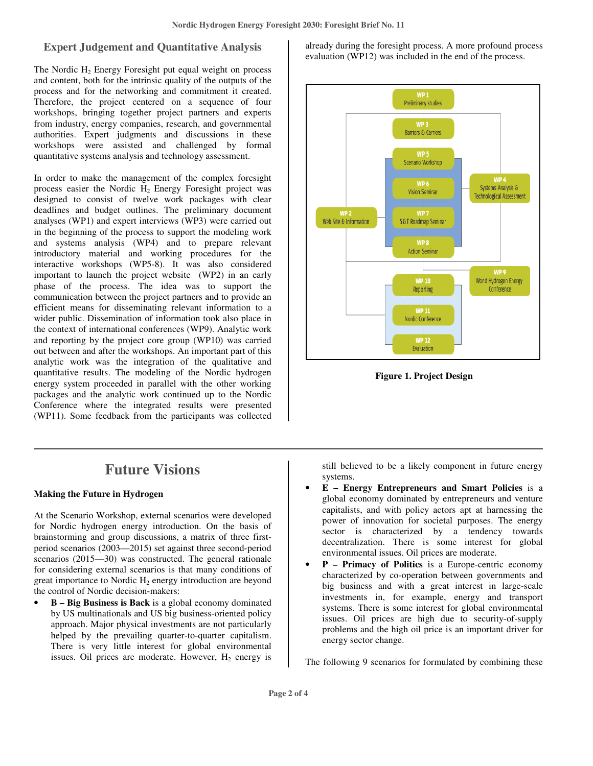## **Expert Judgement and Quantitative Analysis**

The Nordic  $H_2$  Energy Foresight put equal weight on process and content, both for the intrinsic quality of the outputs of the process and for the networking and commitment it created. Therefore, the project centered on a sequence of four workshops, bringing together project partners and experts from industry, energy companies, research, and governmental authorities. Expert judgments and discussions in these workshops were assisted and challenged by formal quantitative systems analysis and technology assessment.

In order to make the management of the complex foresight process easier the Nordic  $H_2$  Energy Foresight project was designed to consist of twelve work packages with clear deadlines and budget outlines. The preliminary document analyses (WP1) and expert interviews (WP3) were carried out in the beginning of the process to support the modeling work and systems analysis (WP4) and to prepare relevant introductory material and working procedures for the interactive workshops (WP5-8). It was also considered important to launch the project website (WP2) in an early phase of the process. The idea was to support the communication between the project partners and to provide an efficient means for disseminating relevant information to a wider public. Dissemination of information took also place in the context of international conferences (WP9). Analytic work and reporting by the project core group (WP10) was carried out between and after the workshops. An important part of this analytic work was the integration of the qualitative and quantitative results. The modeling of the Nordic hydrogen energy system proceeded in parallel with the other working packages and the analytic work continued up to the Nordic Conference where the integrated results were presented (WP11). Some feedback from the participants was collected

# **Future Visions**

#### **Making the Future in Hydrogen**

At the Scenario Workshop, external scenarios were developed for Nordic hydrogen energy introduction. On the basis of brainstorming and group discussions, a matrix of three firstperiod scenarios (2003—2015) set against three second-period scenarios (2015—30) was constructed. The general rationale for considering external scenarios is that many conditions of great importance to Nordic  $H_2$  energy introduction are beyond the control of Nordic decision-makers:

• **B – Big Business is Back** is a global economy dominated by US multinationals and US big business-oriented policy approach. Major physical investments are not particularly helped by the prevailing quarter-to-quarter capitalism. There is very little interest for global environmental issues. Oil prices are moderate. However,  $H_2$  energy is already during the foresight process. A more profound process evaluation (WP12) was included in the end of the process.



**Figure 1. Project Design**

still believed to be a likely component in future energy systems.

- **E – Energy Entrepreneurs and Smart Policies** is a global economy dominated by entrepreneurs and venture capitalists, and with policy actors apt at harnessing the power of innovation for societal purposes. The energy sector is characterized by a tendency towards decentralization. There is some interest for global environmental issues. Oil prices are moderate.
- **P – Primacy of Politics** is a Europe-centric economy characterized by co-operation between governments and big business and with a great interest in large-scale investments in, for example, energy and transport systems. There is some interest for global environmental issues. Oil prices are high due to security-of-supply problems and the high oil price is an important driver for energy sector change.

The following 9 scenarios for formulated by combining these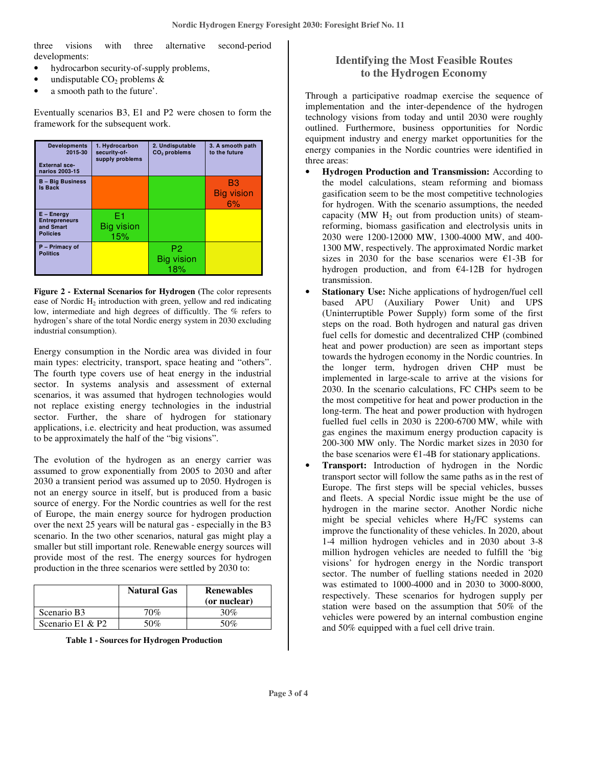three visions with three alternative second-period developments:

- hydrocarbon security-of-supply problems,
- undisputable  $CO<sub>2</sub>$  problems  $&$
- a smooth path to the future'.

Eventually scenarios B3, E1 and P2 were chosen to form the framework for the subsequent work.

| <b>Developments</b><br>2015-30<br><b>External sce-</b><br>narios 2003-15 | 1. Hydrocarbon<br>security-of-<br>supply problems | 2. Undisputable<br>$CO2$ problems   | 3. A smooth path<br>to the future |
|--------------------------------------------------------------------------|---------------------------------------------------|-------------------------------------|-----------------------------------|
| <b>B</b> - Big Business<br><b>Is Back</b>                                |                                                   |                                     | B3<br><b>Big vision</b><br>6%     |
| $E - Energy$<br><b>Entrepreneurs</b><br>and Smart<br><b>Policies</b>     | F1<br><b>Big vision</b><br>15%                    |                                     |                                   |
| P - Primacy of<br><b>Politics</b>                                        |                                                   | P <sub>2</sub><br>Big vision<br>18% |                                   |

**Figure 2 - External Scenarios for Hydrogen (**The color represents ease of Nordic  $H_2$  introduction with green, yellow and red indicating low, intermediate and high degrees of difficultly. The % refers to hydrogen's share of the total Nordic energy system in 2030 excluding industrial consumption).

Energy consumption in the Nordic area was divided in four main types: electricity, transport, space heating and "others". The fourth type covers use of heat energy in the industrial sector. In systems analysis and assessment of external scenarios, it was assumed that hydrogen technologies would not replace existing energy technologies in the industrial sector. Further, the share of hydrogen for stationary applications, i.e. electricity and heat production, was assumed to be approximately the half of the "big visions".

The evolution of the hydrogen as an energy carrier was assumed to grow exponentially from 2005 to 2030 and after 2030 a transient period was assumed up to 2050. Hydrogen is not an energy source in itself, but is produced from a basic source of energy. For the Nordic countries as well for the rest of Europe, the main energy source for hydrogen production over the next 25 years will be natural gas - especially in the B3 scenario. In the two other scenarios, natural gas might play a smaller but still important role. Renewable energy sources will provide most of the rest. The energy sources for hydrogen production in the three scenarios were settled by 2030 to:

|                  | <b>Natural Gas</b> | <b>Renewables</b><br>(or nuclear) |
|------------------|--------------------|-----------------------------------|
| Scenario B3      | 70%                | 30%                               |
| Scenario E1 & P2 | 50%                | 50%                               |

**Table 1 - Sources for Hydrogen Production**

## **Identifying the Most Feasible Routes to the Hydrogen Economy**

Through a participative roadmap exercise the sequence of implementation and the inter-dependence of the hydrogen technology visions from today and until 2030 were roughly outlined. Furthermore, business opportunities for Nordic equipment industry and energy market opportunities for the energy companies in the Nordic countries were identified in three areas:

- **Hydrogen Production and Transmission:** According to the model calculations, steam reforming and biomass gasification seem to be the most competitive technologies for hydrogen. With the scenario assumptions, the needed capacity (MW  $H_2$  out from production units) of steamreforming, biomass gasification and electrolysis units in 2030 were 1200-12000 MW, 1300-4000 MW, and 400- 1300 MW, respectively. The approximated Nordic market sizes in 2030 for the base scenarios were  $E1-3B$  for hydrogen production, and from  $E4-12B$  for hydrogen transmission.
- **Stationary Use:** Niche applications of hydrogen/fuel cell based APU (Auxiliary Power Unit) and UPS (Uninterruptible Power Supply) form some of the first steps on the road. Both hydrogen and natural gas driven fuel cells for domestic and decentralized CHP (combined heat and power production) are seen as important steps towards the hydrogen economy in the Nordic countries. In the longer term, hydrogen driven CHP must be implemented in large-scale to arrive at the visions for 2030. In the scenario calculations, FC CHPs seem to be the most competitive for heat and power production in the long-term. The heat and power production with hydrogen fuelled fuel cells in 2030 is 2200-6700 MW, while with gas engines the maximum energy production capacity is 200-300 MW only. The Nordic market sizes in 2030 for the base scenarios were  $E1-4B$  for stationary applications.
- **Transport:** Introduction of hydrogen in the Nordic transport sector will follow the same paths as in the rest of Europe. The first steps will be special vehicles, busses and fleets. A special Nordic issue might be the use of hydrogen in the marine sector. Another Nordic niche might be special vehicles where  $H_2/FC$  systems can improve the functionality of these vehicles. In 2020, about 1-4 million hydrogen vehicles and in 2030 about 3-8 million hydrogen vehicles are needed to fulfill the 'big visions' for hydrogen energy in the Nordic transport sector. The number of fuelling stations needed in 2020 was estimated to 1000-4000 and in 2030 to 3000-8000, respectively. These scenarios for hydrogen supply per station were based on the assumption that 50% of the vehicles were powered by an internal combustion engine and 50% equipped with a fuel cell drive train.